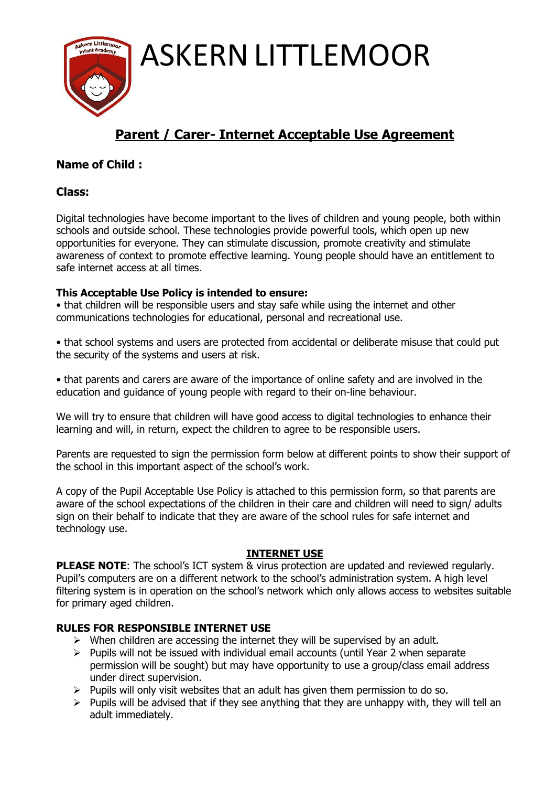ASKERN LITTLEMOOR

## **Parent / Carer- Internet Acceptable Use Agreement**

### **Name of Child :**

#### **Class:**

Digital technologies have become important to the lives of children and young people, both within schools and outside school. These technologies provide powerful tools, which open up new opportunities for everyone. They can stimulate discussion, promote creativity and stimulate awareness of context to promote effective learning. Young people should have an entitlement to safe internet access at all times.

#### **This Acceptable Use Policy is intended to ensure:**

• that children will be responsible users and stay safe while using the internet and other communications technologies for educational, personal and recreational use.

• that school systems and users are protected from accidental or deliberate misuse that could put the security of the systems and users at risk.

• that parents and carers are aware of the importance of online safety and are involved in the education and guidance of young people with regard to their on-line behaviour.

We will try to ensure that children will have good access to digital technologies to enhance their learning and will, in return, expect the children to agree to be responsible users.

Parents are requested to sign the permission form below at different points to show their support of the school in this important aspect of the school's work.

A copy of the Pupil Acceptable Use Policy is attached to this permission form, so that parents are aware of the school expectations of the children in their care and children will need to sign/ adults sign on their behalf to indicate that they are aware of the school rules for safe internet and technology use.

#### **INTERNET USE**

**PLEASE NOTE:** The school's ICT system & virus protection are updated and reviewed regularly. Pupil's computers are on a different network to the school's administration system. A high level filtering system is in operation on the school's network which only allows access to websites suitable for primary aged children.

#### **RULES FOR RESPONSIBLE INTERNET USE**

- $\triangleright$  When children are accessing the internet they will be supervised by an adult.
- $\triangleright$  Pupils will not be issued with individual email accounts (until Year 2 when separate permission will be sought) but may have opportunity to use a group/class email address under direct supervision.
- $\triangleright$  Pupils will only visit websites that an adult has given them permission to do so.
- $\triangleright$  Pupils will be advised that if they see anything that they are unhappy with, they will tell an adult immediately.